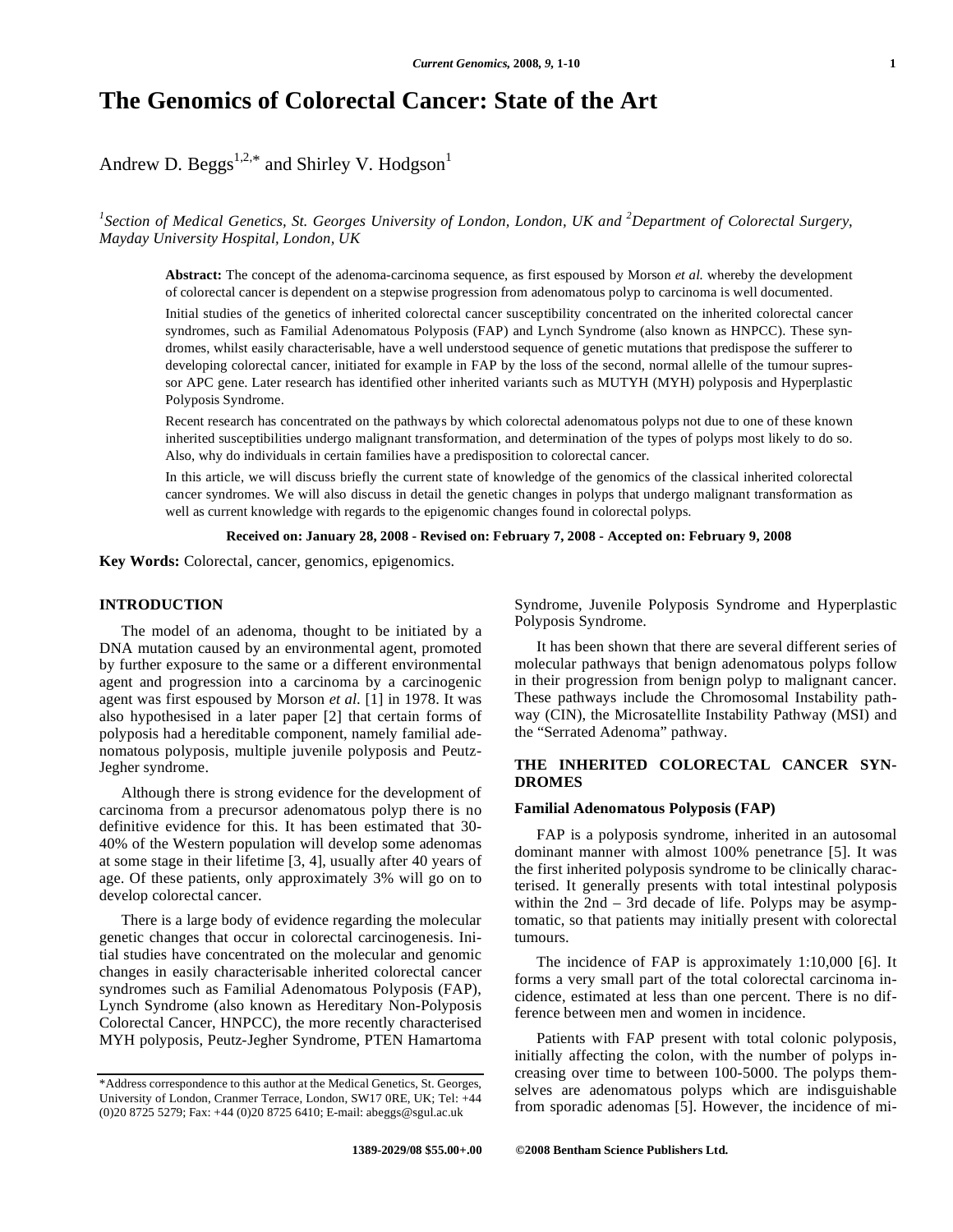# **The Genomics of Colorectal Cancer: State of the Art**

Andrew D. Beggs<sup>1,2,\*</sup> and Shirley V. Hodgson<sup>1</sup>

<sup>1</sup> Section of Medical Genetics, St. Georges University of London, London, UK and <sup>2</sup>Department of Colorectal Surgery, *Mayday University Hospital, London, UK* 

**Abstract:** The concept of the adenoma-carcinoma sequence, as first espoused by Morson *et al.* whereby the development of colorectal cancer is dependent on a stepwise progression from adenomatous polyp to carcinoma is well documented.

Initial studies of the genetics of inherited colorectal cancer susceptibility concentrated on the inherited colorectal cancer syndromes, such as Familial Adenomatous Polyposis (FAP) and Lynch Syndrome (also known as HNPCC). These syndromes, whilst easily characterisable, have a well understood sequence of genetic mutations that predispose the sufferer to developing colorectal cancer, initiated for example in FAP by the loss of the second, normal allelle of the tumour supressor APC gene. Later research has identified other inherited variants such as MUTYH (MYH) polyposis and Hyperplastic Polyposis Syndrome.

Recent research has concentrated on the pathways by which colorectal adenomatous polyps not due to one of these known inherited susceptibilities undergo malignant transformation, and determination of the types of polyps most likely to do so. Also, why do individuals in certain families have a predisposition to colorectal cancer.

In this article, we will discuss briefly the current state of knowledge of the genomics of the classical inherited colorectal cancer syndromes. We will also discuss in detail the genetic changes in polyps that undergo malignant transformation as well as current knowledge with regards to the epigenomic changes found in colorectal polyps.

**Received on: January 28, 2008 - Revised on: February 7, 2008 - Accepted on: February 9, 2008**

**Key Words:** Colorectal, cancer, genomics, epigenomics.

#### **INTRODUCTION**

The model of an adenoma, thought to be initiated by a DNA mutation caused by an environmental agent, promoted by further exposure to the same or a different environmental agent and progression into a carcinoma by a carcinogenic agent was first espoused by Morson *et al.* [1] in 1978. It was also hypothesised in a later paper [2] that certain forms of polyposis had a hereditable component, namely familial adenomatous polyposis, multiple juvenile polyposis and Peutz-Jegher syndrome.

Although there is strong evidence for the development of carcinoma from a precursor adenomatous polyp there is no definitive evidence for this. It has been estimated that 30- 40% of the Western population will develop some adenomas at some stage in their lifetime [3, 4], usually after 40 years of age. Of these patients, only approximately 3% will go on to develop colorectal cancer.

There is a large body of evidence regarding the molecular genetic changes that occur in colorectal carcinogenesis. Initial studies have concentrated on the molecular and genomic changes in easily characterisable inherited colorectal cancer syndromes such as Familial Adenomatous Polyposis (FAP), Lynch Syndrome (also known as Hereditary Non-Polyposis Colorectal Cancer, HNPCC), the more recently characterised MYH polyposis, Peutz-Jegher Syndrome, PTEN Hamartoma Syndrome, Juvenile Polyposis Syndrome and Hyperplastic Polyposis Syndrome.

It has been shown that there are several different series of molecular pathways that benign adenomatous polyps follow in their progression from benign polyp to malignant cancer. These pathways include the Chromosomal Instability pathway (CIN), the Microsatellite Instability Pathway (MSI) and the "Serrated Adenoma" pathway.

# **THE INHERITED COLORECTAL CANCER SYN-DROMES**

### **Familial Adenomatous Polyposis (FAP)**

FAP is a polyposis syndrome, inherited in an autosomal dominant manner with almost 100% penetrance [5]. It was the first inherited polyposis syndrome to be clinically characterised. It generally presents with total intestinal polyposis within the 2nd – 3rd decade of life. Polyps may be asymptomatic, so that patients may initially present with colorectal tumours.

The incidence of FAP is approximately 1:10,000 [6]. It forms a very small part of the total colorectal carcinoma incidence, estimated at less than one percent. There is no difference between men and women in incidence.

Patients with FAP present with total colonic polyposis, initially affecting the colon, with the number of polyps increasing over time to between 100-5000. The polyps themselves are adenomatous polyps which are indisguishable from sporadic adenomas [5]. However, the incidence of mi-

<sup>\*</sup>Address correspondence to this author at the Medical Genetics, St. Georges, University of London, Cranmer Terrace, London, SW17 0RE, UK; Tel: +44 (0)20 8725 5279; Fax: +44 (0)20 8725 6410; E-mail: abeggs@sgul.ac.uk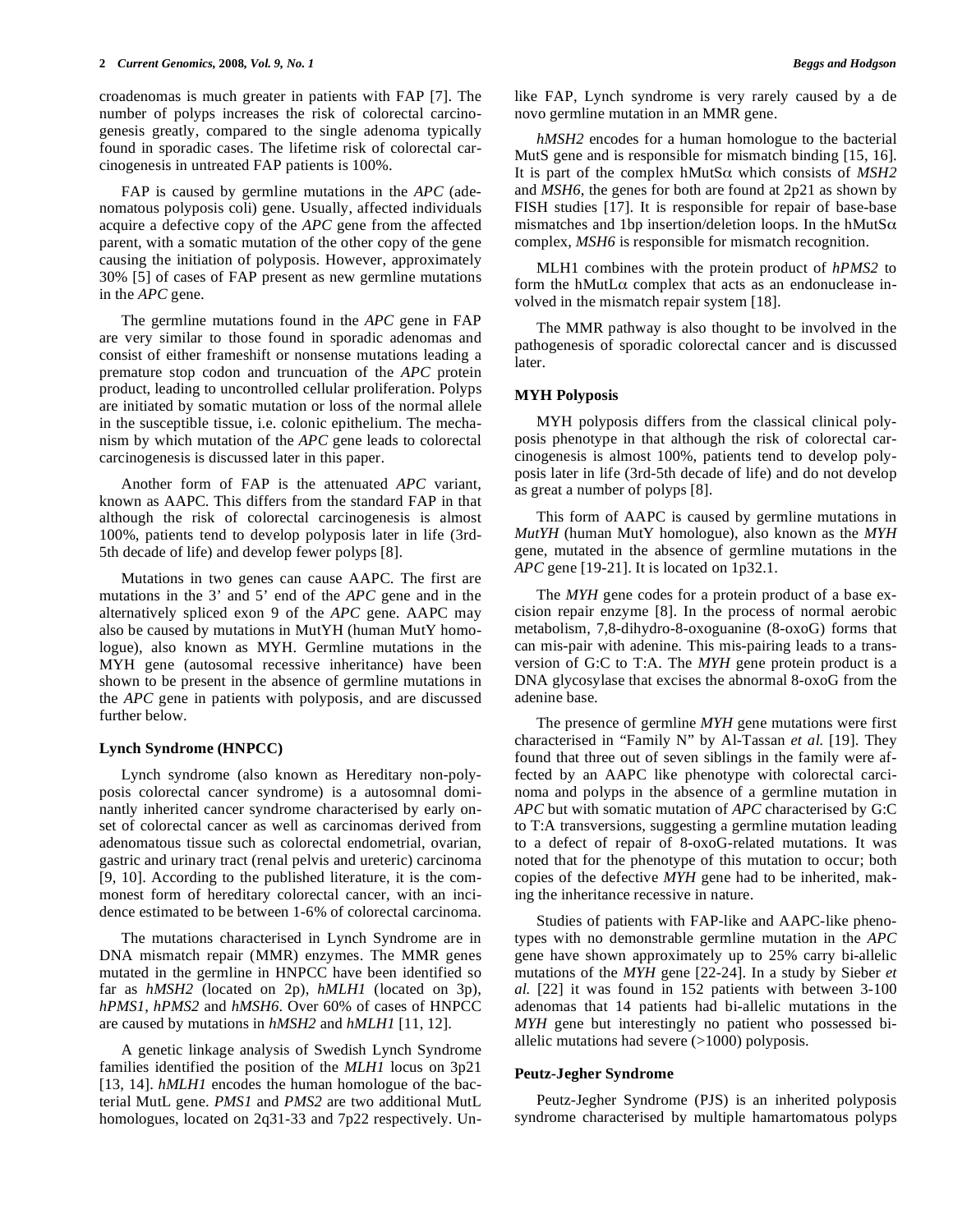croadenomas is much greater in patients with FAP [7]. The number of polyps increases the risk of colorectal carcinogenesis greatly, compared to the single adenoma typically found in sporadic cases. The lifetime risk of colorectal carcinogenesis in untreated FAP patients is 100%.

FAP is caused by germline mutations in the *APC* (adenomatous polyposis coli) gene. Usually, affected individuals acquire a defective copy of the *APC* gene from the affected parent, with a somatic mutation of the other copy of the gene causing the initiation of polyposis. However, approximately 30% [5] of cases of FAP present as new germline mutations in the *APC* gene.

The germline mutations found in the *APC* gene in FAP are very similar to those found in sporadic adenomas and consist of either frameshift or nonsense mutations leading a premature stop codon and truncuation of the *APC* protein product, leading to uncontrolled cellular proliferation. Polyps are initiated by somatic mutation or loss of the normal allele in the susceptible tissue, i.e. colonic epithelium. The mechanism by which mutation of the *APC* gene leads to colorectal carcinogenesis is discussed later in this paper.

Another form of FAP is the attenuated *APC* variant, known as AAPC. This differs from the standard FAP in that although the risk of colorectal carcinogenesis is almost 100%, patients tend to develop polyposis later in life (3rd-5th decade of life) and develop fewer polyps [8].

Mutations in two genes can cause AAPC. The first are mutations in the 3' and 5' end of the *APC* gene and in the alternatively spliced exon 9 of the *APC* gene. AAPC may also be caused by mutations in MutYH (human MutY homologue), also known as MYH. Germline mutations in the MYH gene (autosomal recessive inheritance) have been shown to be present in the absence of germline mutations in the *APC* gene in patients with polyposis, and are discussed further below.

#### **Lynch Syndrome (HNPCC)**

Lynch syndrome (also known as Hereditary non-polyposis colorectal cancer syndrome) is a autosomnal dominantly inherited cancer syndrome characterised by early onset of colorectal cancer as well as carcinomas derived from adenomatous tissue such as colorectal endometrial, ovarian, gastric and urinary tract (renal pelvis and ureteric) carcinoma [9, 10]. According to the published literature, it is the commonest form of hereditary colorectal cancer, with an incidence estimated to be between 1-6% of colorectal carcinoma.

The mutations characterised in Lynch Syndrome are in DNA mismatch repair (MMR) enzymes. The MMR genes mutated in the germline in HNPCC have been identified so far as *hMSH2* (located on 2p), *hMLH1* (located on 3p), *hPMS1*, *hPMS2* and *hMSH6*. Over 60% of cases of HNPCC are caused by mutations in *hMSH2* and *hMLH1* [11, 12].

A genetic linkage analysis of Swedish Lynch Syndrome families identified the position of the *MLH1* locus on 3p21 [13, 14]. *hMLH1* encodes the human homologue of the bacterial MutL gene. *PMS1* and *PMS2* are two additional MutL homologues, located on 2q31-33 and 7p22 respectively. Unlike FAP, Lynch syndrome is very rarely caused by a de novo germline mutation in an MMR gene.

*hMSH2* encodes for a human homologue to the bacterial MutS gene and is responsible for mismatch binding [15, 16]. It is part of the complex  $hMutS\alpha$  which consists of  $MSH2$ and *MSH6*, the genes for both are found at 2p21 as shown by FISH studies [17]. It is responsible for repair of base-base mismatches and 1bp insertion/deletion loops. In the hMutS $\alpha$ complex, *MSH6* is responsible for mismatch recognition.

MLH1 combines with the protein product of *hPMS2* to form the hMutL $\alpha$  complex that acts as an endonuclease involved in the mismatch repair system [18].

The MMR pathway is also thought to be involved in the pathogenesis of sporadic colorectal cancer and is discussed later.

### **MYH Polyposis**

MYH polyposis differs from the classical clinical polyposis phenotype in that although the risk of colorectal carcinogenesis is almost 100%, patients tend to develop polyposis later in life (3rd-5th decade of life) and do not develop as great a number of polyps [8].

This form of AAPC is caused by germline mutations in *MutYH* (human MutY homologue), also known as the *MYH* gene, mutated in the absence of germline mutations in the *APC* gene [19-21]. It is located on 1p32.1.

The *MYH* gene codes for a protein product of a base excision repair enzyme [8]. In the process of normal aerobic metabolism, 7,8-dihydro-8-oxoguanine (8-oxoG) forms that can mis-pair with adenine. This mis-pairing leads to a transversion of G:C to T:A. The *MYH* gene protein product is a DNA glycosylase that excises the abnormal 8-oxoG from the adenine base.

The presence of germline *MYH* gene mutations were first characterised in "Family N" by Al-Tassan *et al.* [19]. They found that three out of seven siblings in the family were affected by an AAPC like phenotype with colorectal carcinoma and polyps in the absence of a germline mutation in *APC* but with somatic mutation of *APC* characterised by G:C to T:A transversions, suggesting a germline mutation leading to a defect of repair of 8-oxoG-related mutations. It was noted that for the phenotype of this mutation to occur; both copies of the defective *MYH* gene had to be inherited, making the inheritance recessive in nature.

Studies of patients with FAP-like and AAPC-like phenotypes with no demonstrable germline mutation in the *APC* gene have shown approximately up to 25% carry bi-allelic mutations of the *MYH* gene [22-24]. In a study by Sieber *et al.* [22] it was found in 152 patients with between 3-100 adenomas that 14 patients had bi-allelic mutations in the *MYH* gene but interestingly no patient who possessed biallelic mutations had severe  $(>1000)$  polyposis.

#### **Peutz-Jegher Syndrome**

Peutz-Jegher Syndrome (PJS) is an inherited polyposis syndrome characterised by multiple hamartomatous polyps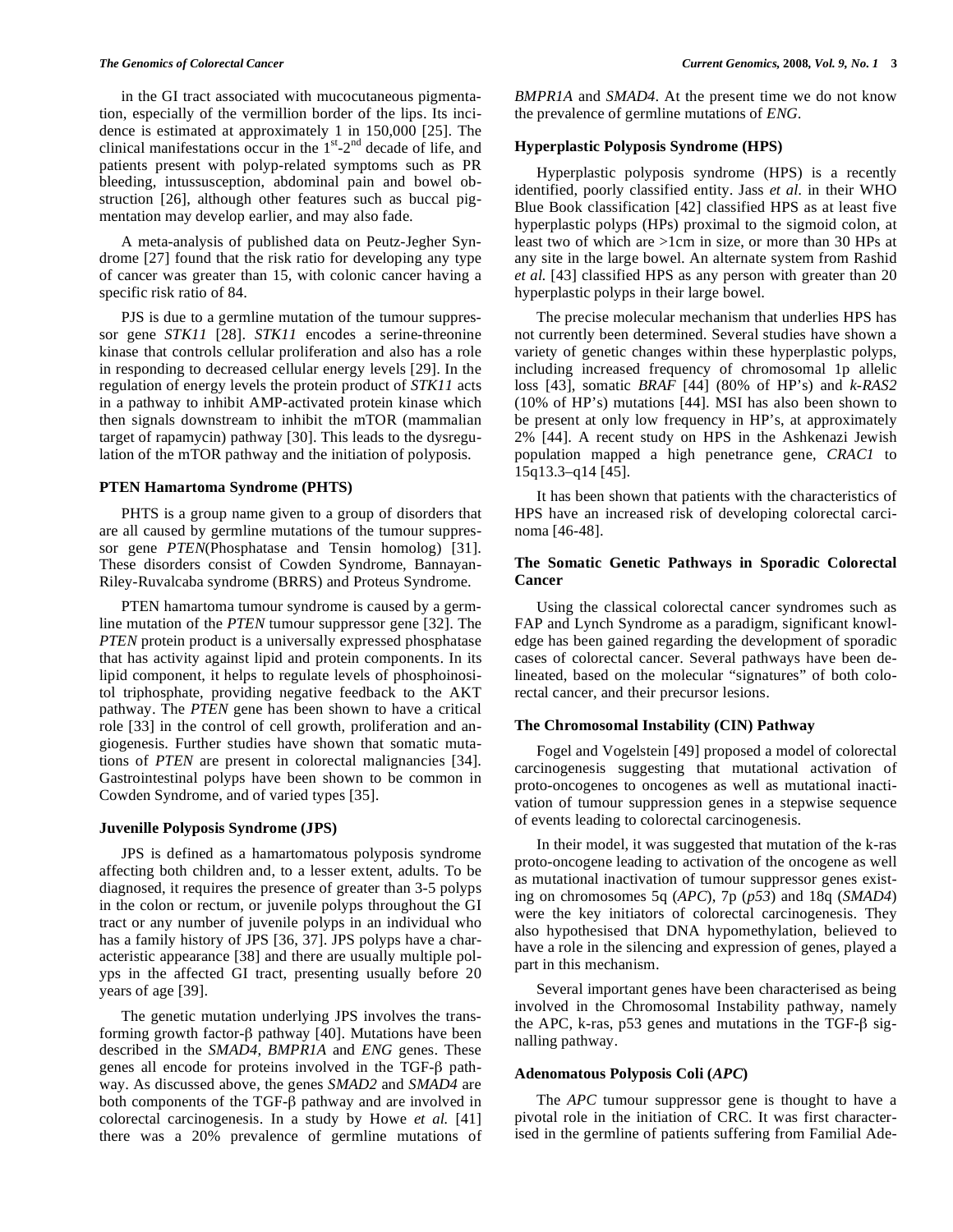in the GI tract associated with mucocutaneous pigmentation, especially of the vermillion border of the lips. Its incidence is estimated at approximately 1 in 150,000 [25]. The clinical manifestations occur in the  $1<sup>st</sup> - 2<sup>nd</sup>$  decade of life, and patients present with polyp-related symptoms such as PR bleeding, intussusception, abdominal pain and bowel obstruction [26], although other features such as buccal pigmentation may develop earlier, and may also fade.

A meta-analysis of published data on Peutz-Jegher Syndrome [27] found that the risk ratio for developing any type of cancer was greater than 15, with colonic cancer having a specific risk ratio of 84.

PJS is due to a germline mutation of the tumour suppressor gene *STK11* [28]. *STK11* encodes a serine-threonine kinase that controls cellular proliferation and also has a role in responding to decreased cellular energy levels [29]. In the regulation of energy levels the protein product of *STK11* acts in a pathway to inhibit AMP-activated protein kinase which then signals downstream to inhibit the mTOR (mammalian target of rapamycin) pathway [30]. This leads to the dysregulation of the mTOR pathway and the initiation of polyposis.

### **PTEN Hamartoma Syndrome (PHTS)**

PHTS is a group name given to a group of disorders that are all caused by germline mutations of the tumour suppressor gene *PTEN*(Phosphatase and Tensin homolog) [31]. These disorders consist of Cowden Syndrome, Bannayan-Riley-Ruvalcaba syndrome (BRRS) and Proteus Syndrome.

PTEN hamartoma tumour syndrome is caused by a germline mutation of the *PTEN* tumour suppressor gene [32]. The *PTEN* protein product is a universally expressed phosphatase that has activity against lipid and protein components. In its lipid component, it helps to regulate levels of phosphoinositol triphosphate, providing negative feedback to the AKT pathway. The *PTEN* gene has been shown to have a critical role [33] in the control of cell growth, proliferation and angiogenesis. Further studies have shown that somatic mutations of *PTEN* are present in colorectal malignancies [34]. Gastrointestinal polyps have been shown to be common in Cowden Syndrome, and of varied types [35].

#### **Juvenille Polyposis Syndrome (JPS)**

JPS is defined as a hamartomatous polyposis syndrome affecting both children and, to a lesser extent, adults. To be diagnosed, it requires the presence of greater than 3-5 polyps in the colon or rectum, or juvenile polyps throughout the GI tract or any number of juvenile polyps in an individual who has a family history of JPS [36, 37]. JPS polyps have a characteristic appearance [38] and there are usually multiple polyps in the affected GI tract, presenting usually before 20 years of age [39].

The genetic mutation underlying JPS involves the transforming growth factor- $\beta$  pathway [40]. Mutations have been described in the *SMAD4*, *BMPR1A* and *ENG* genes. These genes all encode for proteins involved in the  $TGF- $\beta$  path$ way. As discussed above, the genes *SMAD2* and *SMAD4* are both components of the TGF- $\beta$  pathway and are involved in colorectal carcinogenesis. In a study by Howe *et al.* [41] there was a 20% prevalence of germline mutations of *BMPR1A* and *SMAD4*. At the present time we do not know the prevalence of germline mutations of *ENG*.

#### **Hyperplastic Polyposis Syndrome (HPS)**

Hyperplastic polyposis syndrome (HPS) is a recently identified, poorly classified entity. Jass *et al.* in their WHO Blue Book classification [42] classified HPS as at least five hyperplastic polyps (HPs) proximal to the sigmoid colon, at least two of which are >1cm in size, or more than 30 HPs at any site in the large bowel. An alternate system from Rashid *et al.* [43] classified HPS as any person with greater than 20 hyperplastic polyps in their large bowel.

The precise molecular mechanism that underlies HPS has not currently been determined. Several studies have shown a variety of genetic changes within these hyperplastic polyps, including increased frequency of chromosomal 1p allelic loss [43], somatic *BRAF* [44] (80% of HP's) and *k-RAS2* (10% of HP's) mutations [44]. MSI has also been shown to be present at only low frequency in HP's, at approximately 2% [44]. A recent study on HPS in the Ashkenazi Jewish population mapped a high penetrance gene, *CRAC1* to 15q13.3–q14 [45].

It has been shown that patients with the characteristics of HPS have an increased risk of developing colorectal carcinoma [46-48].

# **The Somatic Genetic Pathways in Sporadic Colorectal Cancer**

Using the classical colorectal cancer syndromes such as FAP and Lynch Syndrome as a paradigm, significant knowledge has been gained regarding the development of sporadic cases of colorectal cancer. Several pathways have been delineated, based on the molecular "signatures" of both colorectal cancer, and their precursor lesions.

# **The Chromosomal Instability (CIN) Pathway**

Fogel and Vogelstein [49] proposed a model of colorectal carcinogenesis suggesting that mutational activation of proto-oncogenes to oncogenes as well as mutational inactivation of tumour suppression genes in a stepwise sequence of events leading to colorectal carcinogenesis.

In their model, it was suggested that mutation of the k-ras proto-oncogene leading to activation of the oncogene as well as mutational inactivation of tumour suppressor genes existing on chromosomes 5q (*APC*), 7p (*p53*) and 18q (*SMAD4*) were the key initiators of colorectal carcinogenesis. They also hypothesised that DNA hypomethylation, believed to have a role in the silencing and expression of genes, played a part in this mechanism.

Several important genes have been characterised as being involved in the Chromosomal Instability pathway, namely the APC, k-ras,  $p53$  genes and mutations in the TGF- $\beta$  signalling pathway.

#### **Adenomatous Polyposis Coli (***APC***)**

The *APC* tumour suppressor gene is thought to have a pivotal role in the initiation of CRC. It was first characterised in the germline of patients suffering from Familial Ade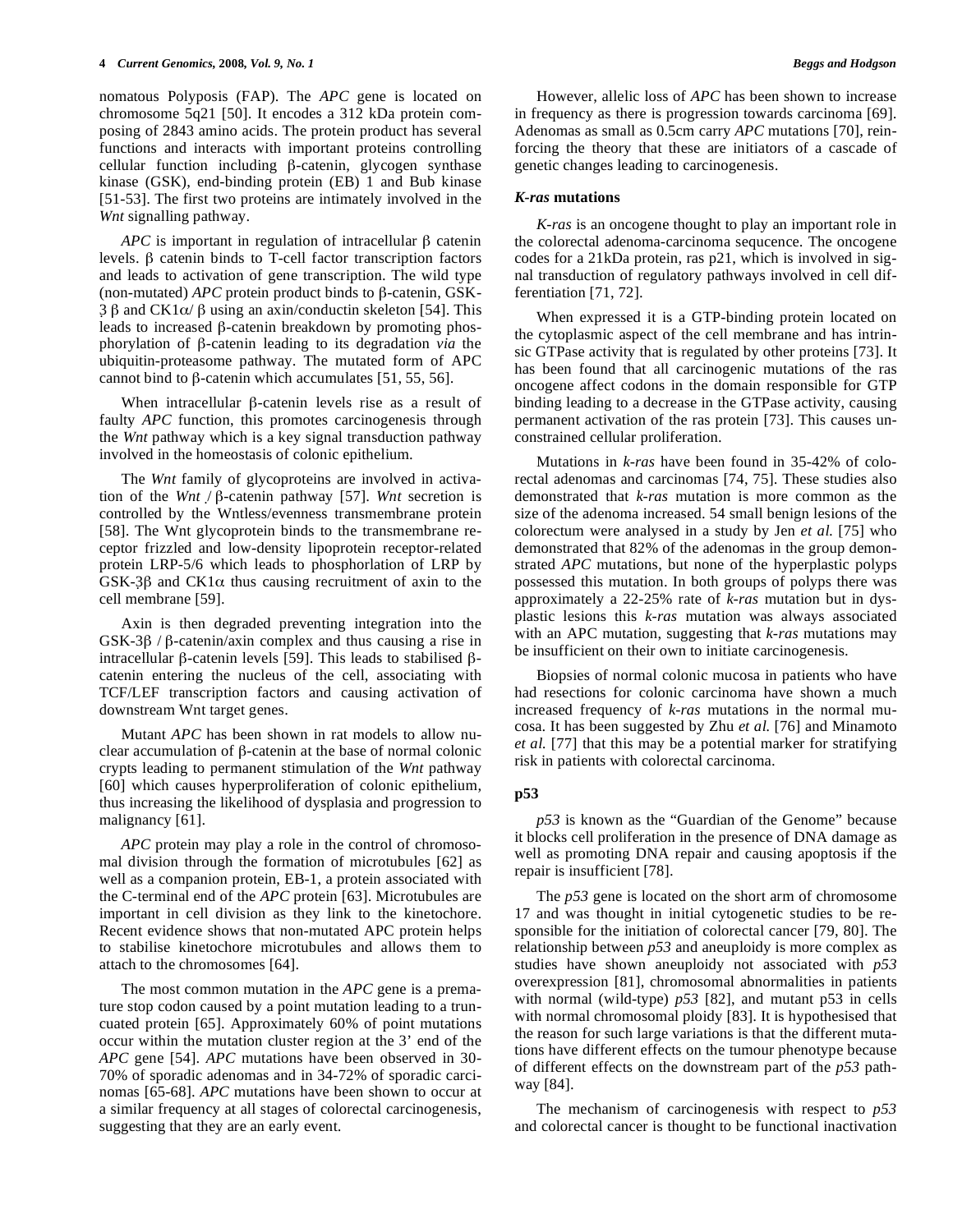nomatous Polyposis (FAP). The *APC* gene is located on chromosome 5q21 [50]. It encodes a 312 kDa protein composing of 2843 amino acids. The protein product has several functions and interacts with important proteins controlling cellular function including  $\beta$ -catenin, glycogen synthase kinase (GSK), end-binding protein (EB) 1 and Bub kinase [51-53]. The first two proteins are intimately involved in the *Wnt* signalling pathway.

 $APC$  is important in regulation of intracellular  $\beta$  catenin levels.  $\beta$  catenin binds to T-cell factor transcription factors and leads to activation of gene transcription. The wild type (non-mutated)  $APC$  protein product binds to  $\beta$ -catenin, GSK- $3\beta$  and CK1 $\alpha/\beta$  using an axin/conductin skeleton [54]. This leads to increased  $\beta$ -catenin breakdown by promoting phosphorylation of  $\beta$ -catenin leading to its degradation *via* the ubiquitin-proteasome pathway. The mutated form of APC cannot bind to  $\beta$ -catenin which accumulates [51, 55, 56].

When intracellular  $\beta$ -catenin levels rise as a result of faulty *APC* function, this promotes carcinogenesis through the *Wnt* pathway which is a key signal transduction pathway involved in the homeostasis of colonic epithelium.

The *Wnt* family of glycoproteins are involved in activation of the *Wnt* /  $\beta$ -catenin pathway [57]. *Wnt* secretion is controlled by the Wntless/evenness transmembrane protein [58]. The Wnt glycoprotein binds to the transmembrane receptor frizzled and low-density lipoprotein receptor-related protein LRP-5/6 which leads to phosphorlation of LRP by GSK-3 $\beta$  and CK1 $\alpha$  thus causing recruitment of axin to the cell membrane [59].

Axin is then degraded preventing integration into the  $GSK-3\beta$  /  $\beta$ -catenin/axin complex and thus causing a rise in intracellular  $\beta$ -catenin levels [59]. This leads to stabilised  $\beta$ catenin entering the nucleus of the cell, associating with TCF/LEF transcription factors and causing activation of downstream Wnt target genes.

Mutant *APC* has been shown in rat models to allow nuclear accumulation of  $\beta$ -catenin at the base of normal colonic crypts leading to permanent stimulation of the *Wnt* pathway [60] which causes hyperproliferation of colonic epithelium, thus increasing the likelihood of dysplasia and progression to malignancy [61].

*APC* protein may play a role in the control of chromosomal division through the formation of microtubules [62] as well as a companion protein, EB-1, a protein associated with the C-terminal end of the *APC* protein [63]. Microtubules are important in cell division as they link to the kinetochore. Recent evidence shows that non-mutated APC protein helps to stabilise kinetochore microtubules and allows them to attach to the chromosomes [64].

The most common mutation in the *APC* gene is a premature stop codon caused by a point mutation leading to a truncuated protein [65]. Approximately 60% of point mutations occur within the mutation cluster region at the 3' end of the *APC* gene [54]. *APC* mutations have been observed in 30- 70% of sporadic adenomas and in 34-72% of sporadic carcinomas [65-68]. *APC* mutations have been shown to occur at a similar frequency at all stages of colorectal carcinogenesis, suggesting that they are an early event.

However, allelic loss of *APC* has been shown to increase in frequency as there is progression towards carcinoma [69]. Adenomas as small as 0.5cm carry *APC* mutations [70], reinforcing the theory that these are initiators of a cascade of genetic changes leading to carcinogenesis.

#### *K-ras* **mutations**

*K-ras* is an oncogene thought to play an important role in the colorectal adenoma-carcinoma sequcence. The oncogene codes for a 21kDa protein, ras p21, which is involved in signal transduction of regulatory pathways involved in cell differentiation [71, 72].

When expressed it is a GTP-binding protein located on the cytoplasmic aspect of the cell membrane and has intrinsic GTPase activity that is regulated by other proteins [73]. It has been found that all carcinogenic mutations of the ras oncogene affect codons in the domain responsible for GTP binding leading to a decrease in the GTPase activity, causing permanent activation of the ras protein [73]. This causes unconstrained cellular proliferation.

Mutations in *k-ras* have been found in 35-42% of colorectal adenomas and carcinomas [74, 75]. These studies also demonstrated that *k-ras* mutation is more common as the size of the adenoma increased. 54 small benign lesions of the colorectum were analysed in a study by Jen *et al.* [75] who demonstrated that 82% of the adenomas in the group demonstrated *APC* mutations, but none of the hyperplastic polyps possessed this mutation. In both groups of polyps there was approximately a 22-25% rate of *k-ras* mutation but in dysplastic lesions this *k-ras* mutation was always associated with an APC mutation, suggesting that *k-ras* mutations may be insufficient on their own to initiate carcinogenesis.

Biopsies of normal colonic mucosa in patients who have had resections for colonic carcinoma have shown a much increased frequency of *k-ras* mutations in the normal mucosa. It has been suggested by Zhu *et al.* [76] and Minamoto *et al.* [77] that this may be a potential marker for stratifying risk in patients with colorectal carcinoma.

# **p53**

*p53* is known as the "Guardian of the Genome" because it blocks cell proliferation in the presence of DNA damage as well as promoting DNA repair and causing apoptosis if the repair is insufficient [78].

The *p53* gene is located on the short arm of chromosome 17 and was thought in initial cytogenetic studies to be responsible for the initiation of colorectal cancer [79, 80]. The relationship between *p53* and aneuploidy is more complex as studies have shown aneuploidy not associated with *p53* overexpression [81], chromosomal abnormalities in patients with normal (wild-type) *p53* [82], and mutant p53 in cells with normal chromosomal ploidy [83]. It is hypothesised that the reason for such large variations is that the different mutations have different effects on the tumour phenotype because of different effects on the downstream part of the *p53* pathway [84].

The mechanism of carcinogenesis with respect to *p53* and colorectal cancer is thought to be functional inactivation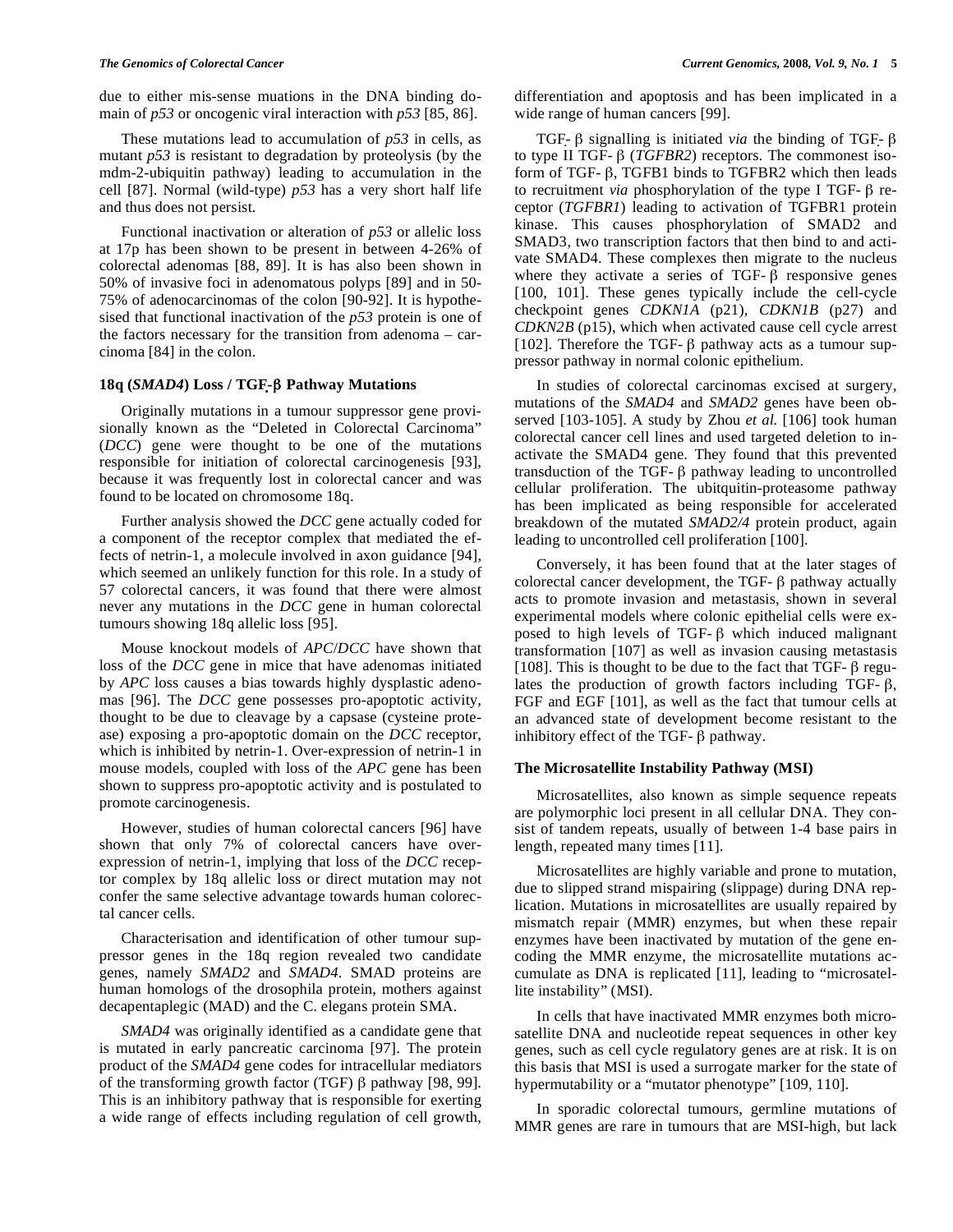due to either mis-sense muations in the DNA binding domain of *p53* or oncogenic viral interaction with *p53* [85, 86].

These mutations lead to accumulation of *p53* in cells, as mutant *p53* is resistant to degradation by proteolysis (by the mdm-2-ubiquitin pathway) leading to accumulation in the cell [87]. Normal (wild-type) *p53* has a very short half life and thus does not persist.

Functional inactivation or alteration of *p53* or allelic loss at 17p has been shown to be present in between 4-26% of colorectal adenomas [88, 89]. It is has also been shown in 50% of invasive foci in adenomatous polyps [89] and in 50- 75% of adenocarcinomas of the colon [90-92]. It is hypothesised that functional inactivation of the *p53* protein is one of the factors necessary for the transition from adenoma – carcinoma [84] in the colon.

# **18q (***SMAD4***) Loss / TGF-- Pathway Mutations**

Originally mutations in a tumour suppressor gene provisionally known as the "Deleted in Colorectal Carcinoma" (*DCC*) gene were thought to be one of the mutations responsible for initiation of colorectal carcinogenesis [93], because it was frequently lost in colorectal cancer and was found to be located on chromosome 18q.

Further analysis showed the *DCC* gene actually coded for a component of the receptor complex that mediated the effects of netrin-1, a molecule involved in axon guidance [94], which seemed an unlikely function for this role. In a study of 57 colorectal cancers, it was found that there were almost never any mutations in the *DCC* gene in human colorectal tumours showing 18q allelic loss [95].

Mouse knockout models of *APC*/*DCC* have shown that loss of the *DCC* gene in mice that have adenomas initiated by *APC* loss causes a bias towards highly dysplastic adenomas [96]. The *DCC* gene possesses pro-apoptotic activity, thought to be due to cleavage by a capsase (cysteine protease) exposing a pro-apoptotic domain on the *DCC* receptor, which is inhibited by netrin-1. Over-expression of netrin-1 in mouse models, coupled with loss of the *APC* gene has been shown to suppress pro-apoptotic activity and is postulated to promote carcinogenesis.

However, studies of human colorectal cancers [96] have shown that only 7% of colorectal cancers have overexpression of netrin-1, implying that loss of the *DCC* receptor complex by 18q allelic loss or direct mutation may not confer the same selective advantage towards human colorectal cancer cells.

Characterisation and identification of other tumour suppressor genes in the 18q region revealed two candidate genes, namely *SMAD2* and *SMAD4*. SMAD proteins are human homologs of the drosophila protein, mothers against decapentaplegic (MAD) and the C. elegans protein SMA.

*SMAD4* was originally identified as a candidate gene that is mutated in early pancreatic carcinoma [97]. The protein product of the *SMAD4* gene codes for intracellular mediators of the transforming growth factor (TGF)  $\beta$  pathway [98, 99]. This is an inhibitory pathway that is responsible for exerting a wide range of effects including regulation of cell growth, differentiation and apoptosis and has been implicated in a wide range of human cancers [99].

TGF- $\beta$  signalling is initiated *via* the binding of TGF- $\beta$ to type II TGF- $\beta$  (*TGFBR2*) receptors. The commonest isoform of TGF- $\beta$ , TGFB1 binds to TGFBR2 which then leads to recruitment *via* phosphorylation of the type I TGF- $\beta$  receptor (*TGFBR1*) leading to activation of TGFBR1 protein kinase. This causes phosphorylation of SMAD2 and SMAD3, two transcription factors that then bind to and activate SMAD4. These complexes then migrate to the nucleus where they activate a series of TGF- $\beta$  responsive genes [100, 101]. These genes typically include the cell-cycle checkpoint genes *CDKN1A* (p21), *CDKN1B* (p27) and *CDKN2B* (p15), which when activated cause cell cycle arrest [102]. Therefore the TGF-  $\beta$  pathway acts as a tumour suppressor pathway in normal colonic epithelium.

In studies of colorectal carcinomas excised at surgery, mutations of the *SMAD4* and *SMAD2* genes have been observed [103-105]. A study by Zhou *et al.* [106] took human colorectal cancer cell lines and used targeted deletion to inactivate the SMAD4 gene. They found that this prevented transduction of the TGF- $\beta$  pathway leading to uncontrolled cellular proliferation. The ubitquitin-proteasome pathway has been implicated as being responsible for accelerated breakdown of the mutated *SMAD2/4* protein product, again leading to uncontrolled cell proliferation [100].

Conversely, it has been found that at the later stages of colorectal cancer development, the TGF- $\beta$  pathway actually acts to promote invasion and metastasis, shown in several experimental models where colonic epithelial cells were exposed to high levels of TGF- $\beta$  which induced malignant transformation [107] as well as invasion causing metastasis [108]. This is thought to be due to the fact that TGF- $\beta$  regulates the production of growth factors including TGF- $\beta$ , FGF and EGF [101], as well as the fact that tumour cells at an advanced state of development become resistant to the inhibitory effect of the TGF- $\beta$  pathway.

#### **The Microsatellite Instability Pathway (MSI)**

Microsatellites, also known as simple sequence repeats are polymorphic loci present in all cellular DNA. They consist of tandem repeats, usually of between 1-4 base pairs in length, repeated many times [11].

Microsatellites are highly variable and prone to mutation, due to slipped strand mispairing (slippage) during DNA replication. Mutations in microsatellites are usually repaired by mismatch repair (MMR) enzymes, but when these repair enzymes have been inactivated by mutation of the gene encoding the MMR enzyme, the microsatellite mutations accumulate as DNA is replicated [11], leading to "microsatellite instability" (MSI).

In cells that have inactivated MMR enzymes both microsatellite DNA and nucleotide repeat sequences in other key genes, such as cell cycle regulatory genes are at risk. It is on this basis that MSI is used a surrogate marker for the state of hypermutability or a "mutator phenotype" [109, 110].

In sporadic colorectal tumours, germline mutations of MMR genes are rare in tumours that are MSI-high, but lack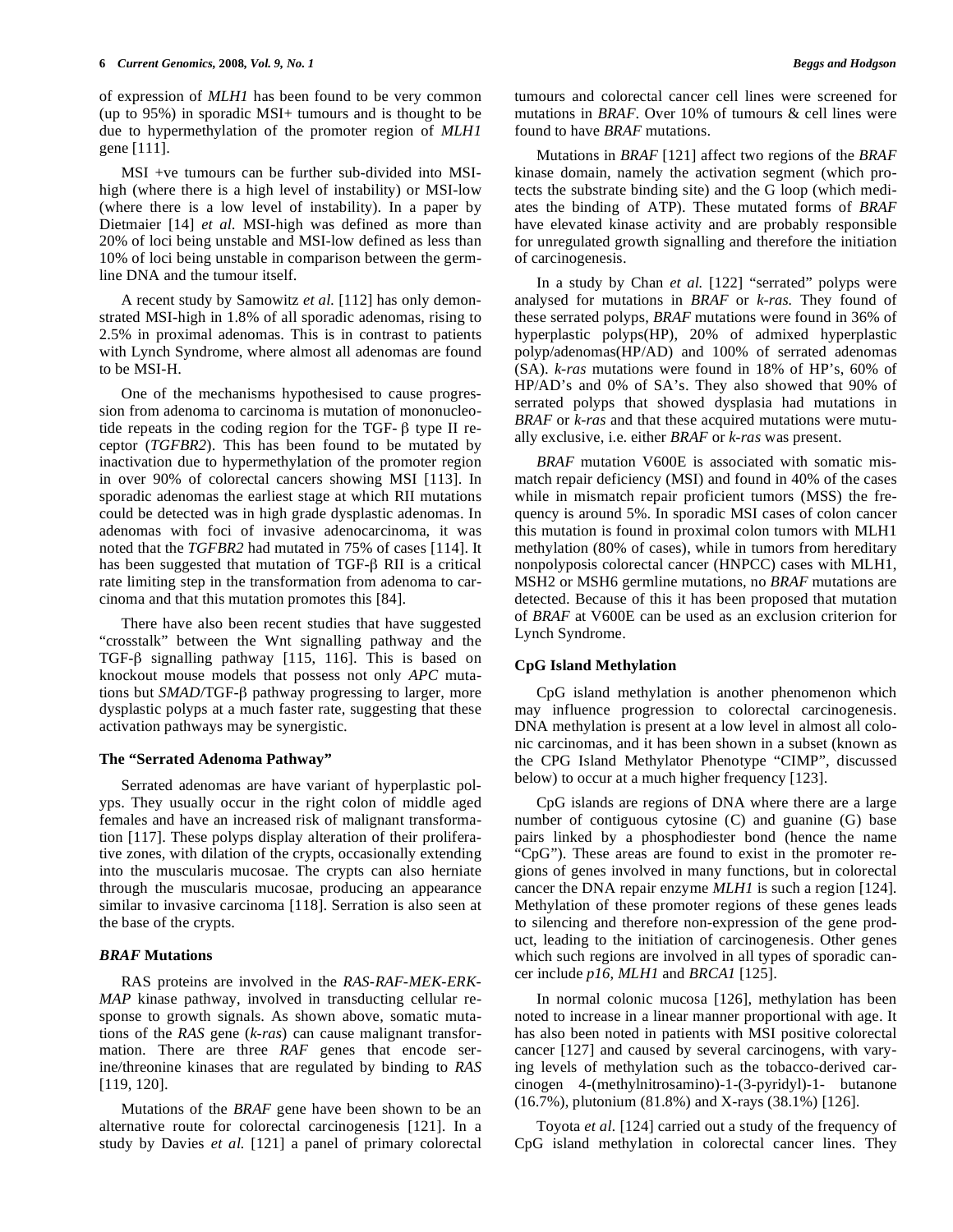of expression of *MLH1* has been found to be very common (up to 95%) in sporadic MSI+ tumours and is thought to be due to hypermethylation of the promoter region of *MLH1* gene [111].

MSI +ve tumours can be further sub-divided into MSIhigh (where there is a high level of instability) or MSI-low (where there is a low level of instability). In a paper by Dietmaier [14] *et al.* MSI-high was defined as more than 20% of loci being unstable and MSI-low defined as less than 10% of loci being unstable in comparison between the germline DNA and the tumour itself.

A recent study by Samowitz *et al.* [112] has only demonstrated MSI-high in 1.8% of all sporadic adenomas, rising to 2.5% in proximal adenomas. This is in contrast to patients with Lynch Syndrome, where almost all adenomas are found to be MSI-H.

One of the mechanisms hypothesised to cause progression from adenoma to carcinoma is mutation of mononucleotide repeats in the coding region for the TGF- $\beta$  type II receptor (*TGFBR2*). This has been found to be mutated by inactivation due to hypermethylation of the promoter region in over 90% of colorectal cancers showing MSI [113]. In sporadic adenomas the earliest stage at which RII mutations could be detected was in high grade dysplastic adenomas. In adenomas with foci of invasive adenocarcinoma, it was noted that the *TGFBR2* had mutated in 75% of cases [114]. It has been suggested that mutation of TGF- $\beta$  RII is a critical rate limiting step in the transformation from adenoma to carcinoma and that this mutation promotes this [84].

There have also been recent studies that have suggested "crosstalk" between the Wnt signalling pathway and the TGF- $\beta$  signalling pathway [115, 116]. This is based on knockout mouse models that possess not only *APC* mutations but *SMAD*/TGF-β pathway progressing to larger, more dysplastic polyps at a much faster rate, suggesting that these activation pathways may be synergistic.

#### **The "Serrated Adenoma Pathway"**

Serrated adenomas are have variant of hyperplastic polyps. They usually occur in the right colon of middle aged females and have an increased risk of malignant transformation [117]. These polyps display alteration of their proliferative zones, with dilation of the crypts, occasionally extending into the muscularis mucosae. The crypts can also herniate through the muscularis mucosae, producing an appearance similar to invasive carcinoma [118]. Serration is also seen at the base of the crypts.

#### *BRAF* **Mutations**

RAS proteins are involved in the *RAS-RAF-MEK-ERK-MAP* kinase pathway, involved in transducting cellular response to growth signals. As shown above, somatic mutations of the *RAS* gene (*k-ras*) can cause malignant transformation. There are three *RAF* genes that encode serine/threonine kinases that are regulated by binding to *RAS* [119, 120].

Mutations of the *BRAF* gene have been shown to be an alternative route for colorectal carcinogenesis [121]. In a study by Davies *et al.* [121] a panel of primary colorectal tumours and colorectal cancer cell lines were screened for mutations in *BRAF*. Over 10% of tumours & cell lines were found to have *BRAF* mutations.

Mutations in *BRAF* [121] affect two regions of the *BRAF* kinase domain, namely the activation segment (which protects the substrate binding site) and the G loop (which mediates the binding of ATP). These mutated forms of *BRAF* have elevated kinase activity and are probably responsible for unregulated growth signalling and therefore the initiation of carcinogenesis.

In a study by Chan *et al.* [122] "serrated" polyps were analysed for mutations in *BRAF* or *k-ras.* They found of these serrated polyps, *BRAF* mutations were found in 36% of hyperplastic polyps(HP), 20% of admixed hyperplastic polyp/adenomas(HP/AD) and 100% of serrated adenomas (SA). *k-ras* mutations were found in 18% of HP's, 60% of HP/AD's and 0% of SA's. They also showed that 90% of serrated polyps that showed dysplasia had mutations in *BRAF* or *k-ras* and that these acquired mutations were mutually exclusive, i.e. either *BRAF* or *k-ras* was present.

*BRAF* mutation V600E is associated with somatic mismatch repair deficiency (MSI) and found in 40% of the cases while in mismatch repair proficient tumors (MSS) the frequency is around 5%. In sporadic MSI cases of colon cancer this mutation is found in proximal colon tumors with MLH1 methylation (80% of cases), while in tumors from hereditary nonpolyposis colorectal cancer (HNPCC) cases with MLH1, MSH2 or MSH6 germline mutations, no *BRAF* mutations are detected. Because of this it has been proposed that mutation of *BRAF* at V600E can be used as an exclusion criterion for Lynch Syndrome.

#### **CpG Island Methylation**

CpG island methylation is another phenomenon which may influence progression to colorectal carcinogenesis. DNA methylation is present at a low level in almost all colonic carcinomas, and it has been shown in a subset (known as the CPG Island Methylator Phenotype "CIMP", discussed below) to occur at a much higher frequency [123].

CpG islands are regions of DNA where there are a large number of contiguous cytosine (C) and guanine (G) base pairs linked by a phosphodiester bond (hence the name "CpG"). These areas are found to exist in the promoter regions of genes involved in many functions, but in colorectal cancer the DNA repair enzyme *MLH1* is such a region [124]. Methylation of these promoter regions of these genes leads to silencing and therefore non-expression of the gene product, leading to the initiation of carcinogenesis. Other genes which such regions are involved in all types of sporadic cancer include *p16*, *MLH1* and *BRCA1* [125].

In normal colonic mucosa [126], methylation has been noted to increase in a linear manner proportional with age. It has also been noted in patients with MSI positive colorectal cancer [127] and caused by several carcinogens, with varying levels of methylation such as the tobacco-derived carcinogen 4-(methylnitrosamino)-1-(3-pyridyl)-1- butanone (16.7%), plutonium (81.8%) and X-rays (38.1%) [126].

Toyota *et al.* [124] carried out a study of the frequency of CpG island methylation in colorectal cancer lines. They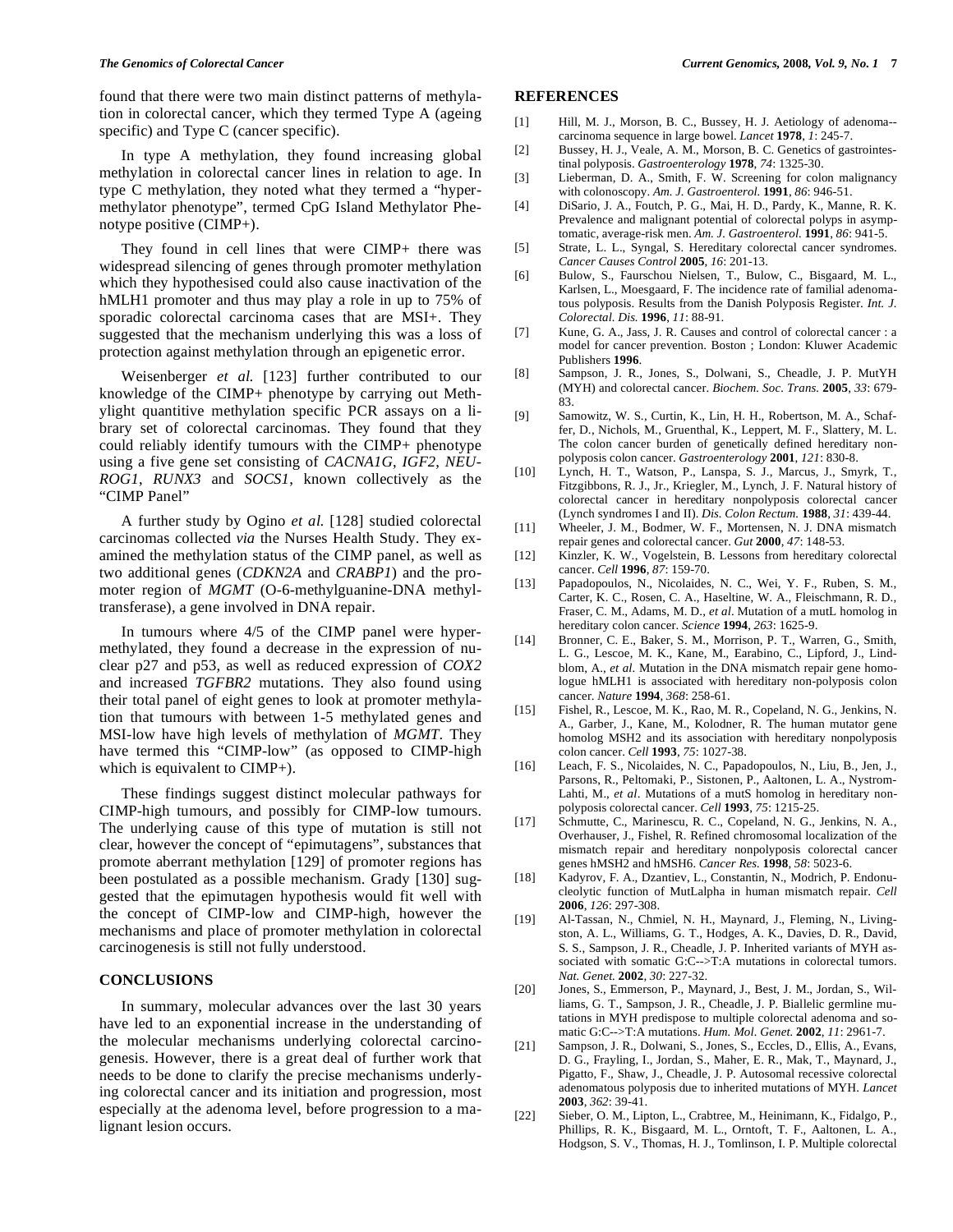found that there were two main distinct patterns of methylation in colorectal cancer, which they termed Type A (ageing specific) and Type C (cancer specific).

In type A methylation, they found increasing global methylation in colorectal cancer lines in relation to age. In type C methylation, they noted what they termed a "hypermethylator phenotype", termed CpG Island Methylator Phenotype positive (CIMP+).

They found in cell lines that were CIMP+ there was widespread silencing of genes through promoter methylation which they hypothesised could also cause inactivation of the hMLH1 promoter and thus may play a role in up to 75% of sporadic colorectal carcinoma cases that are MSI+. They suggested that the mechanism underlying this was a loss of protection against methylation through an epigenetic error.

Weisenberger *et al.* [123] further contributed to our knowledge of the CIMP+ phenotype by carrying out Methylight quantitive methylation specific PCR assays on a library set of colorectal carcinomas. They found that they could reliably identify tumours with the CIMP+ phenotype using a five gene set consisting of *CACNA1G*, *IGF2*, *NEU-ROG1*, *RUNX3* and *SOCS1*, known collectively as the "CIMP Panel"

A further study by Ogino *et al.* [128] studied colorectal carcinomas collected *via* the Nurses Health Study. They examined the methylation status of the CIMP panel, as well as two additional genes (*CDKN2A* and *CRABP1*) and the promoter region of *MGMT* (O-6-methylguanine-DNA methyltransferase), a gene involved in DNA repair.

In tumours where 4/5 of the CIMP panel were hypermethylated, they found a decrease in the expression of nuclear p27 and p53, as well as reduced expression of *COX2* and increased *TGFBR2* mutations. They also found using their total panel of eight genes to look at promoter methylation that tumours with between 1-5 methylated genes and MSI-low have high levels of methylation of *MGMT*. They have termed this "CIMP-low" (as opposed to CIMP-high which is equivalent to CIMP+).

These findings suggest distinct molecular pathways for CIMP-high tumours, and possibly for CIMP-low tumours. The underlying cause of this type of mutation is still not clear, however the concept of "epimutagens", substances that promote aberrant methylation [129] of promoter regions has been postulated as a possible mechanism. Grady [130] suggested that the epimutagen hypothesis would fit well with the concept of CIMP-low and CIMP-high, however the mechanisms and place of promoter methylation in colorectal carcinogenesis is still not fully understood.

#### **CONCLUSIONS**

In summary, molecular advances over the last 30 years have led to an exponential increase in the understanding of the molecular mechanisms underlying colorectal carcinogenesis. However, there is a great deal of further work that needs to be done to clarify the precise mechanisms underlying colorectal cancer and its initiation and progression, most especially at the adenoma level, before progression to a malignant lesion occurs.

#### **REFERENCES**

- [1] Hill, M. J., Morson, B. C., Bussey, H. J. Aetiology of adenoma-carcinoma sequence in large bowel. *Lancet* **1978**, *1*: 245-7.
- [2] Bussey, H. J., Veale, A. M., Morson, B. C. Genetics of gastrointestinal polyposis. *Gastroenterology* **1978**, *74*: 1325-30.
- [3] Lieberman, D. A., Smith, F. W. Screening for colon malignancy with colonoscopy. *Am. J. Gastroenterol.* **1991**, *86*: 946-51.
- [4] DiSario, J. A., Foutch, P. G., Mai, H. D., Pardy, K., Manne, R. K. Prevalence and malignant potential of colorectal polyps in asymptomatic, average-risk men. *Am. J. Gastroenterol.* **1991**, *86*: 941-5.
- [5] Strate, L. L., Syngal, S. Hereditary colorectal cancer syndromes. *Cancer Causes Control* **2005**, *16*: 201-13.
- [6] Bulow, S., Faurschou Nielsen, T., Bulow, C., Bisgaard, M. L., Karlsen, L., Moesgaard, F. The incidence rate of familial adenomatous polyposis. Results from the Danish Polyposis Register. *Int. J. Colorectal. Dis.* **1996**, *11*: 88-91.
- [7] Kune, G. A., Jass, J. R. Causes and control of colorectal cancer : a model for cancer prevention. Boston ; London: Kluwer Academic Publishers **1996**.
- [8] Sampson, J. R., Jones, S., Dolwani, S., Cheadle, J. P. MutYH (MYH) and colorectal cancer. *Biochem. Soc. Trans.* **2005**, *33*: 679- 83.
- [9] Samowitz, W. S., Curtin, K., Lin, H. H., Robertson, M. A., Schaffer, D., Nichols, M., Gruenthal, K., Leppert, M. F., Slattery, M. L. The colon cancer burden of genetically defined hereditary nonpolyposis colon cancer. *Gastroenterology* **2001**, *121*: 830-8.
- [10] Lynch, H. T., Watson, P., Lanspa, S. J., Marcus, J., Smyrk, T., Fitzgibbons, R. J., Jr., Kriegler, M., Lynch, J. F. Natural history of colorectal cancer in hereditary nonpolyposis colorectal cancer (Lynch syndromes I and II). *Dis. Colon Rectum.* **1988**, *31*: 439-44.
- [11] Wheeler, J. M., Bodmer, W. F., Mortensen, N. J. DNA mismatch repair genes and colorectal cancer. *Gut* **2000**, *47*: 148-53.
- [12] Kinzler, K. W., Vogelstein, B. Lessons from hereditary colorectal cancer. *Cell* **1996**, *87*: 159-70.
- [13] Papadopoulos, N., Nicolaides, N. C., Wei, Y. F., Ruben, S. M., Carter, K. C., Rosen, C. A., Haseltine, W. A., Fleischmann, R. D., Fraser, C. M., Adams, M. D., *et al*. Mutation of a mutL homolog in hereditary colon cancer. *Science* **1994**, *263*: 1625-9.
- [14] Bronner, C. E., Baker, S. M., Morrison, P. T., Warren, G., Smith, L. G., Lescoe, M. K., Kane, M., Earabino, C., Lipford, J., Lindblom, A., *et al*. Mutation in the DNA mismatch repair gene homologue hMLH1 is associated with hereditary non-polyposis colon cancer. *Nature* **1994**, *368*: 258-61.
- [15] Fishel, R., Lescoe, M. K., Rao, M. R., Copeland, N. G., Jenkins, N. A., Garber, J., Kane, M., Kolodner, R. The human mutator gene homolog MSH2 and its association with hereditary nonpolyposis colon cancer. *Cell* **1993**, *75*: 1027-38.
- [16] Leach, F. S., Nicolaides, N. C., Papadopoulos, N., Liu, B., Jen, J., Parsons, R., Peltomaki, P., Sistonen, P., Aaltonen, L. A., Nystrom-Lahti, M., *et al*. Mutations of a mutS homolog in hereditary nonpolyposis colorectal cancer. *Cell* **1993**, *75*: 1215-25.
- [17] Schmutte, C., Marinescu, R. C., Copeland, N. G., Jenkins, N. A., Overhauser, J., Fishel, R. Refined chromosomal localization of the mismatch repair and hereditary nonpolyposis colorectal cancer genes hMSH2 and hMSH6. *Cancer Res.* **1998**, *58*: 5023-6.
- [18] Kadyrov, F. A., Dzantiev, L., Constantin, N., Modrich, P. Endonucleolytic function of MutLalpha in human mismatch repair. *Cell* **2006**, *126*: 297-308.
- [19] Al-Tassan, N., Chmiel, N. H., Maynard, J., Fleming, N., Livingston, A. L., Williams, G. T., Hodges, A. K., Davies, D. R., David, S. S., Sampson, J. R., Cheadle, J. P. Inherited variants of MYH associated with somatic G:C-->T:A mutations in colorectal tumors. *Nat. Genet.* **2002**, *30*: 227-32.
- [20] Jones, S., Emmerson, P., Maynard, J., Best, J. M., Jordan, S., Williams, G. T., Sampson, J. R., Cheadle, J. P. Biallelic germline mutations in MYH predispose to multiple colorectal adenoma and somatic G:C-->T:A mutations. *Hum. Mol. Genet.* **2002**, *11*: 2961-7.
- [21] Sampson, J. R., Dolwani, S., Jones, S., Eccles, D., Ellis, A., Evans, D. G., Frayling, I., Jordan, S., Maher, E. R., Mak, T., Maynard, J., Pigatto, F., Shaw, J., Cheadle, J. P. Autosomal recessive colorectal adenomatous polyposis due to inherited mutations of MYH. *Lancet* **2003**, *362*: 39-41.
- [22] Sieber, O. M., Lipton, L., Crabtree, M., Heinimann, K., Fidalgo, P., Phillips, R. K., Bisgaard, M. L., Orntoft, T. F., Aaltonen, L. A., Hodgson, S. V., Thomas, H. J., Tomlinson, I. P. Multiple colorectal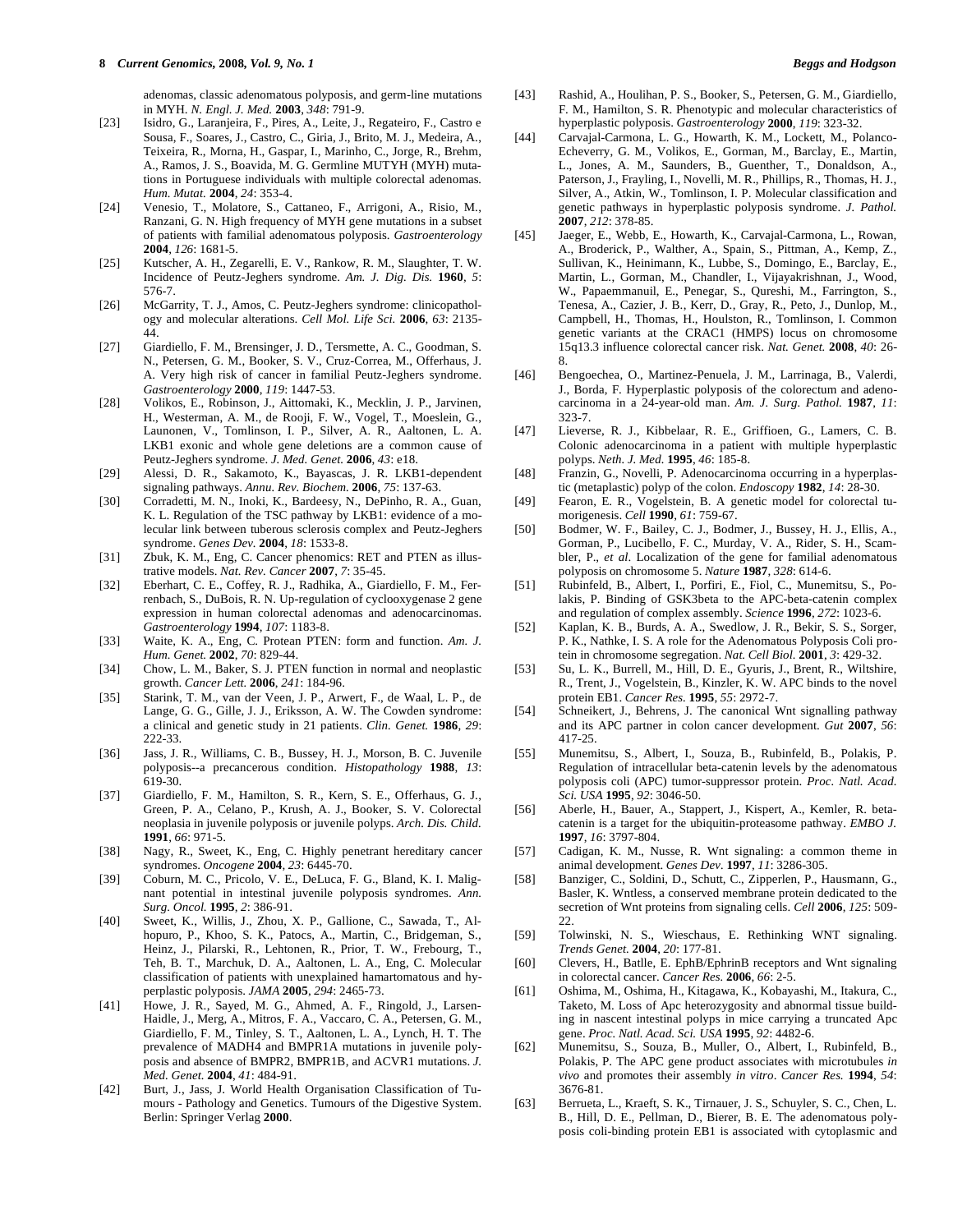adenomas, classic adenomatous polyposis, and germ-line mutations in MYH. *N. Engl. J. Med.* **2003**, *348*: 791-9.

- [23] Isidro, G., Laranjeira, F., Pires, A., Leite, J., Regateiro, F., Castro e Sousa, F., Soares, J., Castro, C., Giria, J., Brito, M. J., Medeira, A., Teixeira, R., Morna, H., Gaspar, I., Marinho, C., Jorge, R., Brehm, A., Ramos, J. S., Boavida, M. G. Germline MUTYH (MYH) mutations in Portuguese individuals with multiple colorectal adenomas*. Hum. Mutat.* **2004**, *24*: 353-4.
- [24] Venesio, T., Molatore, S., Cattaneo, F., Arrigoni, A., Risio, M., Ranzani, G. N. High frequency of MYH gene mutations in a subset of patients with familial adenomatous polyposis. *Gastroenterology* **2004**, *126*: 1681-5.
- [25] Kutscher, A. H., Zegarelli, E. V., Rankow, R. M., Slaughter, T. W. Incidence of Peutz-Jeghers syndrome. *Am. J. Dig. Dis.* **1960**, *5*: 576-7.
- [26] McGarrity, T. J., Amos, C. Peutz-Jeghers syndrome: clinicopathology and molecular alterations. *Cell Mol. Life Sci.* **2006**, *63*: 2135- 44.
- [27] Giardiello, F. M., Brensinger, J. D., Tersmette, A. C., Goodman, S. N., Petersen, G. M., Booker, S. V., Cruz-Correa, M., Offerhaus, J. A. Very high risk of cancer in familial Peutz-Jeghers syndrome. *Gastroenterology* **2000**, *119*: 1447-53.
- [28] Volikos, E., Robinson, J., Aittomaki, K., Mecklin, J. P., Jarvinen, H., Westerman, A. M., de Rooji, F. W., Vogel, T., Moeslein, G., Launonen, V., Tomlinson, I. P., Silver, A. R., Aaltonen, L. A. LKB1 exonic and whole gene deletions are a common cause of Peutz-Jeghers syndrome. *J. Med. Genet.* **2006**, *43*: e18.
- [29] Alessi, D. R., Sakamoto, K., Bayascas, J. R. LKB1-dependent signaling pathways. *Annu. Rev. Biochem.* **2006**, *75*: 137-63.
- [30] Corradetti, M. N., Inoki, K., Bardeesy, N., DePinho, R. A., Guan, K. L. Regulation of the TSC pathway by LKB1: evidence of a molecular link between tuberous sclerosis complex and Peutz-Jeghers syndrome. *Genes Dev.* **2004**, *18*: 1533-8.
- [31] Zbuk, K. M., Eng, C. Cancer phenomics: RET and PTEN as illustrative models. *Nat. Rev. Cancer* **2007**, *7*: 35-45.
- [32] Eberhart, C. E., Coffey, R. J., Radhika, A., Giardiello, F. M., Ferrenbach, S., DuBois, R. N. Up-regulation of cyclooxygenase 2 gene expression in human colorectal adenomas and adenocarcinomas. *Gastroenterology* **1994**, *107*: 1183-8.
- [33] Waite, K. A., Eng, C. Protean PTEN: form and function. *Am. J. Hum. Genet.* **2002**, *70*: 829-44.
- [34] Chow, L. M., Baker, S. J. PTEN function in normal and neoplastic growth. *Cancer Lett.* **2006**, *241*: 184-96.
- [35] Starink, T. M., van der Veen, J. P., Arwert, F., de Waal, L. P., de Lange, G. G., Gille, J. J., Eriksson, A. W. The Cowden syndrome: a clinical and genetic study in 21 patients. *Clin. Genet.* **1986**, *29*: 222-33.
- [36] Jass, J. R., Williams, C. B., Bussey, H. J., Morson, B. C. Juvenile polyposis--a precancerous condition. *Histopathology* **1988**, *13*: 619-30.
- [37] Giardiello, F. M., Hamilton, S. R., Kern, S. E., Offerhaus, G. J., Green, P. A., Celano, P., Krush, A. J., Booker, S. V. Colorectal neoplasia in juvenile polyposis or juvenile polyps. *Arch. Dis. Child.* **1991**, *66*: 971-5.
- [38] Nagy, R., Sweet, K., Eng, C. Highly penetrant hereditary cancer syndromes. *Oncogene* **2004**, *23*: 6445-70.
- [39] Coburn, M. C., Pricolo, V. E., DeLuca, F. G., Bland, K. I. Malignant potential in intestinal juvenile polyposis syndromes. *Ann. Surg. Oncol.* **1995**, *2*: 386-91.
- [40] Sweet, K., Willis, J., Zhou, X. P., Gallione, C., Sawada, T., Alhopuro, P., Khoo, S. K., Patocs, A., Martin, C., Bridgeman, S., Heinz, J., Pilarski, R., Lehtonen, R., Prior, T. W., Frebourg, T., Teh, B. T., Marchuk, D. A., Aaltonen, L. A., Eng, C. Molecular classification of patients with unexplained hamartomatous and hyperplastic polyposis. *JAMA* **2005**, *294*: 2465-73.
- [41] Howe, J. R., Sayed, M. G., Ahmed, A. F., Ringold, J., Larsen-Haidle, J., Merg, A., Mitros, F. A., Vaccaro, C. A., Petersen, G. M., Giardiello, F. M., Tinley, S. T., Aaltonen, L. A., Lynch, H. T. The prevalence of MADH4 and BMPR1A mutations in juvenile polyposis and absence of BMPR2, BMPR1B, and ACVR1 mutations. *J. Med. Genet.* **2004**, *41*: 484-91.
- [42] Burt, J., Jass, J. World Health Organisation Classification of Tumours - Pathology and Genetics. Tumours of the Digestive System. Berlin: Springer Verlag **2000**.
- [43] Rashid, A., Houlihan, P. S., Booker, S., Petersen, G. M., Giardiello, F. M., Hamilton, S. R. Phenotypic and molecular characteristics of hyperplastic polyposis. *Gastroenterology* **2000**, *119*: 323-32.
- [44] Carvajal-Carmona, L. G., Howarth, K. M., Lockett, M., Polanco-Echeverry, G. M., Volikos, E., Gorman, M., Barclay, E., Martin, L., Jones, A. M., Saunders, B., Guenther, T., Donaldson, A., Paterson, J., Frayling, I., Novelli, M. R., Phillips, R., Thomas, H. J., Silver, A., Atkin, W., Tomlinson, I. P. Molecular classification and genetic pathways in hyperplastic polyposis syndrome. *J. Pathol.* **2007**, *212*: 378-85.
- [45] Jaeger, E., Webb, E., Howarth, K., Carvajal-Carmona, L., Rowan, A., Broderick, P., Walther, A., Spain, S., Pittman, A., Kemp, Z., Sullivan, K., Heinimann, K., Lubbe, S., Domingo, E., Barclay, E., Martin, L., Gorman, M., Chandler, I., Vijayakrishnan, J., Wood, W., Papaemmanuil, E., Penegar, S., Qureshi, M., Farrington, S., Tenesa, A., Cazier, J. B., Kerr, D., Gray, R., Peto, J., Dunlop, M., Campbell, H., Thomas, H., Houlston, R., Tomlinson, I. Common genetic variants at the CRAC1 (HMPS) locus on chromosome 15q13.3 influence colorectal cancer risk. *Nat. Genet.* **2008**, *40*: 26- 8.
- [46] Bengoechea, O., Martinez-Penuela, J. M., Larrinaga, B., Valerdi, J., Borda, F. Hyperplastic polyposis of the colorectum and adenocarcinoma in a 24-year-old man. *Am. J. Surg. Pathol.* **1987**, *11*: 323-7
- [47] Lieverse, R. J., Kibbelaar, R. E., Griffioen, G., Lamers, C. B. Colonic adenocarcinoma in a patient with multiple hyperplastic polyps. *Neth. J. Med.* **1995**, *46*: 185-8.
- [48] Franzin, G., Novelli, P. Adenocarcinoma occurring in a hyperplastic (metaplastic) polyp of the colon. *Endoscopy* **1982**, *14*: 28-30.
- [49] Fearon, E. R., Vogelstein, B. A genetic model for colorectal tumorigenesis. *Cell* **1990**, *61*: 759-67.
- [50] Bodmer, W. F., Bailey, C. J., Bodmer, J., Bussey, H. J., Ellis, A., Gorman, P., Lucibello, F. C., Murday, V. A., Rider, S. H., Scambler, P., *et al*. Localization of the gene for familial adenomatous polyposis on chromosome 5. *Nature* **1987**, *328*: 614-6.
- [51] Rubinfeld, B., Albert, I., Porfiri, E., Fiol, C., Munemitsu, S., Polakis, P. Binding of GSK3beta to the APC-beta-catenin complex and regulation of complex assembly. *Science* **1996**, *272*: 1023-6.
- [52] Kaplan, K. B., Burds, A. A., Swedlow, J. R., Bekir, S. S., Sorger, P. K., Nathke, I. S. A role for the Adenomatous Polyposis Coli protein in chromosome segregation. *Nat. Cell Biol.* **2001**, *3*: 429-32.
- [53] Su, L. K., Burrell, M., Hill, D. E., Gyuris, J., Brent, R., Wiltshire, R., Trent, J., Vogelstein, B., Kinzler, K. W. APC binds to the novel protein EB1. *Cancer Res.* **1995**, *55*: 2972-7.
- [54] Schneikert, J., Behrens, J. The canonical Wnt signalling pathway and its APC partner in colon cancer development. *Gut* **2007**, *56*: 417-25.
- [55] Munemitsu, S., Albert, I., Souza, B., Rubinfeld, B., Polakis, P. Regulation of intracellular beta-catenin levels by the adenomatous polyposis coli (APC) tumor-suppressor protein. *Proc. Natl. Acad. Sci. USA* **1995**, *92*: 3046-50.
- [56] Aberle, H., Bauer, A., Stappert, J., Kispert, A., Kemler, R. betacatenin is a target for the ubiquitin-proteasome pathway. *EMBO J.* **1997**, *16*: 3797-804.
- [57] Cadigan, K. M., Nusse, R. Wnt signaling: a common theme in animal development. *Genes Dev.* **1997**, *11*: 3286-305.
- [58] Banziger, C., Soldini, D., Schutt, C., Zipperlen, P., Hausmann, G., Basler, K. Wntless, a conserved membrane protein dedicated to the secretion of Wnt proteins from signaling cells. *Cell* **2006**, *125*: 509-  $22.2$
- [59] Tolwinski, N. S., Wieschaus, E. Rethinking WNT signaling. *Trends Genet.* **2004**, *20*: 177-81.
- [60] Clevers, H., Batlle, E. EphB/EphrinB receptors and Wnt signaling in colorectal cancer. *Cancer Res.* **2006**, *66*: 2-5.
- [61] Oshima, M., Oshima, H., Kitagawa, K., Kobayashi, M., Itakura, C., Taketo, M. Loss of Apc heterozygosity and abnormal tissue building in nascent intestinal polyps in mice carrying a truncated Apc gene. *Proc. Natl. Acad. Sci. USA* **1995**, *92*: 4482-6.
- [62] Munemitsu, S., Souza, B., Muller, O., Albert, I., Rubinfeld, B., Polakis, P. The APC gene product associates with microtubules *in vivo* and promotes their assembly *in vitro*. *Cancer Res.* **1994**, *54*: 3676-81.
- [63] Berrueta, L., Kraeft, S. K., Tirnauer, J. S., Schuyler, S. C., Chen, L. B., Hill, D. E., Pellman, D., Bierer, B. E. The adenomatous polyposis coli-binding protein EB1 is associated with cytoplasmic and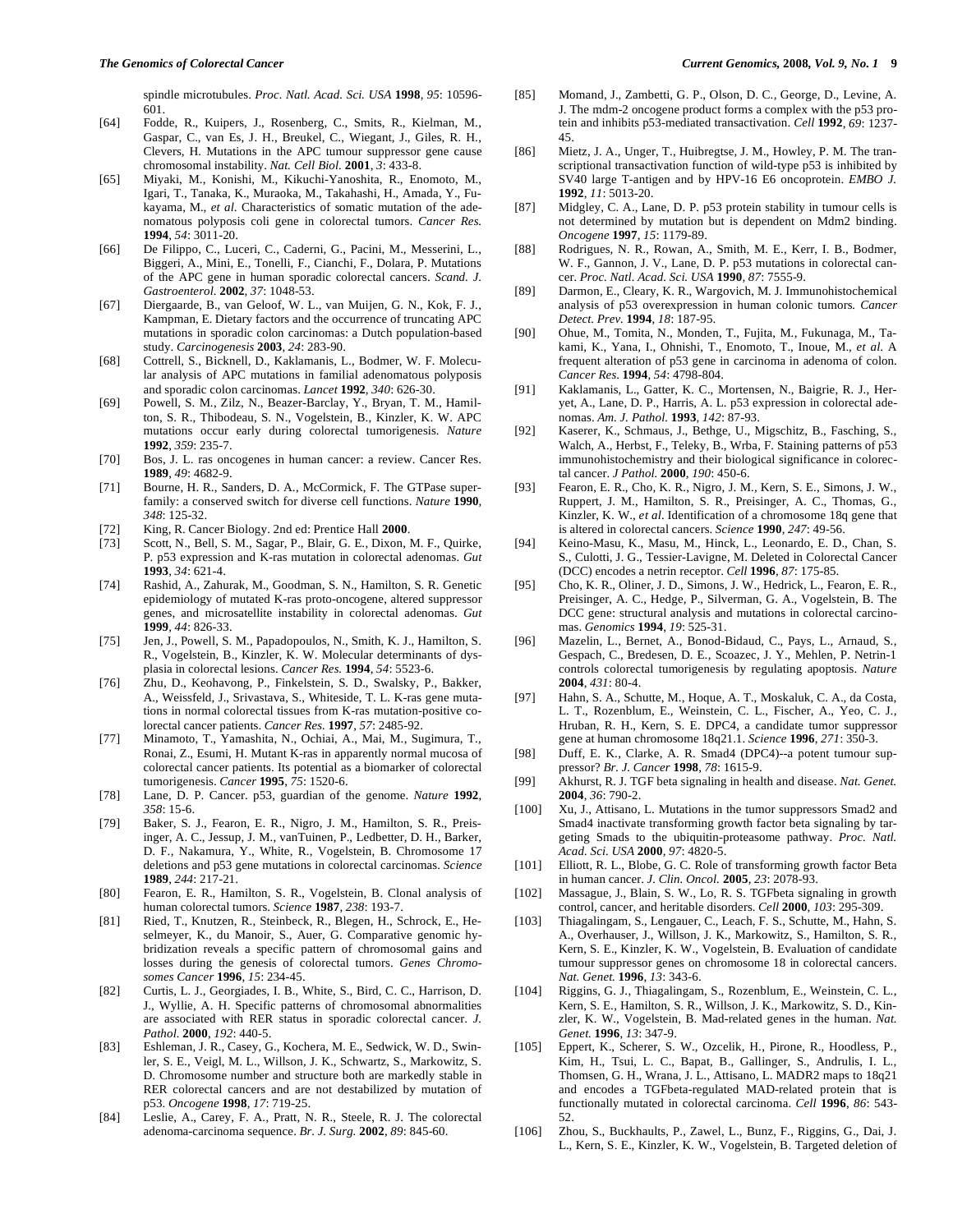spindle microtubules. *Proc. Natl. Acad. Sci. USA* **1998**, *95*: 10596- 601.

- [64] Fodde, R., Kuipers, J., Rosenberg, C., Smits, R., Kielman, M., Gaspar, C., van Es, J. H., Breukel, C., Wiegant, J., Giles, R. H., Clevers, H. Mutations in the APC tumour suppressor gene cause chromosomal instability. *Nat. Cell Biol.* **2001**, *3*: 433-8.
- [65] Miyaki, M., Konishi, M., Kikuchi-Yanoshita, R., Enomoto, M., Igari, T., Tanaka, K., Muraoka, M., Takahashi, H., Amada, Y., Fukayama, M., *et al*. Characteristics of somatic mutation of the adenomatous polyposis coli gene in colorectal tumors. *Cancer Res.* **1994**, *54*: 3011-20.
- [66] De Filippo, C., Luceri, C., Caderni, G., Pacini, M., Messerini, L., Biggeri, A., Mini, E., Tonelli, F., Cianchi, F., Dolara, P. Mutations of the APC gene in human sporadic colorectal cancers. *Scand. J. Gastroenterol.* **2002**, *37*: 1048-53.
- [67] Diergaarde, B., van Geloof, W. L., van Muijen, G. N., Kok, F. J., Kampman, E. Dietary factors and the occurrence of truncating APC mutations in sporadic colon carcinomas: a Dutch population-based study. *Carcinogenesis* **2003**, *24*: 283-90.
- [68] Cottrell, S., Bicknell, D., Kaklamanis, L., Bodmer, W. F. Molecular analysis of APC mutations in familial adenomatous polyposis and sporadic colon carcinomas. *Lancet* **1992**, *340*: 626-30.
- [69] Powell, S. M., Zilz, N., Beazer-Barclay, Y., Bryan, T. M., Hamilton, S. R., Thibodeau, S. N., Vogelstein, B., Kinzler, K. W. APC mutations occur early during colorectal tumorigenesis. *Nature* **1992**, *359*: 235-7.
- [70] Bos, J. L. ras oncogenes in human cancer: a review. Cancer Res. **1989**, *49*: 4682-9.
- [71] Bourne, H. R., Sanders, D. A., McCormick, F. The GTPase superfamily: a conserved switch for diverse cell functions. *Nature* **1990**, *348*: 125-32.
- [72] King, R. Cancer Biology. 2nd ed: Prentice Hall **2000**.
- [73] Scott, N., Bell, S. M., Sagar, P., Blair, G. E., Dixon, M. F., Quirke, P. p53 expression and K-ras mutation in colorectal adenomas. *Gut* **1993**, *34*: 621-4.
- [74] Rashid, A., Zahurak, M., Goodman, S. N., Hamilton, S. R. Genetic epidemiology of mutated K-ras proto-oncogene, altered suppressor genes, and microsatellite instability in colorectal adenomas. *Gut* **1999**, *44*: 826-33.
- [75] Jen, J., Powell, S. M., Papadopoulos, N., Smith, K. J., Hamilton, S. R., Vogelstein, B., Kinzler, K. W. Molecular determinants of dysplasia in colorectal lesions. *Cancer Res.* **1994**, *54*: 5523-6.
- [76] Zhu, D., Keohavong, P., Finkelstein, S. D., Swalsky, P., Bakker, A., Weissfeld, J., Srivastava, S., Whiteside, T. L. K-ras gene mutations in normal colorectal tissues from K-ras mutation-positive colorectal cancer patients. *Cancer Res.* **1997**, *57*: 2485-92.
- [77] Minamoto, T., Yamashita, N., Ochiai, A., Mai, M., Sugimura, T., Ronai, Z., Esumi, H. Mutant K-ras in apparently normal mucosa of colorectal cancer patients. Its potential as a biomarker of colorectal tumorigenesis. *Cancer* **1995**, *75*: 1520-6.
- [78] Lane, D. P. Cancer. p53, guardian of the genome. *Nature* **1992**, *358*: 15-6.
- [79] Baker, S. J., Fearon, E. R., Nigro, J. M., Hamilton, S. R., Preisinger, A. C., Jessup, J. M., vanTuinen, P., Ledbetter, D. H., Barker, D. F., Nakamura, Y., White, R., Vogelstein, B. Chromosome 17 deletions and p53 gene mutations in colorectal carcinomas. *Science* **1989**, *244*: 217-21.
- [80] Fearon, E. R., Hamilton, S. R., Vogelstein, B. Clonal analysis of human colorectal tumors. *Science* **1987**, *238*: 193-7.
- [81] Ried, T., Knutzen, R., Steinbeck, R., Blegen, H., Schrock, E., Heselmeyer, K., du Manoir, S., Auer, G. Comparative genomic hybridization reveals a specific pattern of chromosomal gains and losses during the genesis of colorectal tumors. *Genes Chromosomes Cancer* **1996**, *15*: 234-45.
- [82] Curtis, L. J., Georgiades, I. B., White, S., Bird, C. C., Harrison, D. J., Wyllie, A. H. Specific patterns of chromosomal abnormalities are associated with RER status in sporadic colorectal cancer. *J. Pathol.* **2000**, *192*: 440-5.
- [83] Eshleman, J. R., Casey, G., Kochera, M. E., Sedwick, W. D., Swinler, S. E., Veigl, M. L., Willson, J. K., Schwartz, S., Markowitz, S. D. Chromosome number and structure both are markedly stable in RER colorectal cancers and are not destabilized by mutation of p53. *Oncogene* **1998**, *17*: 719-25.
- [84] Leslie, A., Carey, F. A., Pratt, N. R., Steele, R. J. The colorectal adenoma-carcinoma sequence. *Br. J. Surg.* **2002**, *89*: 845-60.
- [85] Momand, J., Zambetti, G. P., Olson, D. C., George, D., Levine, A. J. The mdm-2 oncogene product forms a complex with the p53 protein and inhibits p53-mediated transactivation. *Cell* **1992**, *69*: 1237- 45.
- [86] Mietz, J. A., Unger, T., Huibregtse, J. M., Howley, P. M. The transcriptional transactivation function of wild-type p53 is inhibited by SV40 large T-antigen and by HPV-16 E6 oncoprotein. *EMBO J.* **1992**, *11*: 5013-20.
- [87] Midgley, C. A., Lane, D. P. p53 protein stability in tumour cells is not determined by mutation but is dependent on Mdm2 binding. *Oncogene* **1997**, *15*: 1179-89.
- [88] Rodrigues, N. R., Rowan, A., Smith, M. E., Kerr, I. B., Bodmer, W. F., Gannon, J. V., Lane, D. P. p53 mutations in colorectal cancer. *Proc. Natl. Acad. Sci. USA* **1990**, *87*: 7555-9.
- [89] Darmon, E., Cleary, K. R., Wargovich, M. J. Immunohistochemical analysis of p53 overexpression in human colonic tumors*. Cancer Detect. Prev.* **1994**, *18*: 187-95.
- [90] Ohue, M., Tomita, N., Monden, T., Fujita, M., Fukunaga, M., Takami, K., Yana, I., Ohnishi, T., Enomoto, T., Inoue, M., *et al*. A frequent alteration of p53 gene in carcinoma in adenoma of colon. *Cancer Res*. **1994**, *54*: 4798-804.
- [91] Kaklamanis, L., Gatter, K. C., Mortensen, N., Baigrie, R. J., Heryet, A., Lane, D. P., Harris, A. L. p53 expression in colorectal adenomas. *Am. J. Pathol.* **1993**, *142*: 87-93.
- [92] Kaserer, K., Schmaus, J., Bethge, U., Migschitz, B., Fasching, S., Walch, A., Herbst, F., Teleky, B., Wrba, F. Staining patterns of p53 immunohistochemistry and their biological significance in colorectal cancer. *J Pathol.* **2000**, *190*: 450-6.
- [93] Fearon, E. R., Cho, K. R., Nigro, J. M., Kern, S. E., Simons, J. W., Ruppert, J. M., Hamilton, S. R., Preisinger, A. C., Thomas, G., Kinzler, K. W., *et al*. Identification of a chromosome 18q gene that is altered in colorectal cancers. *Science* **1990**, *247*: 49-56.
- [94] Keino-Masu, K., Masu, M., Hinck, L., Leonardo, E. D., Chan, S. S., Culotti, J. G., Tessier-Lavigne, M. Deleted in Colorectal Cancer (DCC) encodes a netrin receptor. *Cell* **1996**, *87*: 175-85.
- [95] Cho, K. R., Oliner, J. D., Simons, J. W., Hedrick, L., Fearon, E. R., Preisinger, A. C., Hedge, P., Silverman, G. A., Vogelstein, B. The DCC gene: structural analysis and mutations in colorectal carcinomas. *Genomics* **1994**, *19*: 525-31.
- [96] Mazelin, L., Bernet, A., Bonod-Bidaud, C., Pays, L., Arnaud, S., Gespach, C., Bredesen, D. E., Scoazec, J. Y., Mehlen, P. Netrin-1 controls colorectal tumorigenesis by regulating apoptosis. *Nature* **2004**, *431*: 80-4.
- [97] Hahn, S. A., Schutte, M., Hoque, A. T., Moskaluk, C. A., da Costa, L. T., Rozenblum, E., Weinstein, C. L., Fischer, A., Yeo, C. J., Hruban, R. H., Kern, S. E. DPC4, a candidate tumor suppressor gene at human chromosome 18q21.1. *Science* **1996**, *271*: 350-3.
- [98] Duff, E. K., Clarke, A. R. Smad4 (DPC4)--a potent tumour suppressor? *Br. J. Cancer* **1998**, *78*: 1615-9.
- [99] Akhurst, R. J. TGF beta signaling in health and disease. *Nat. Genet.* **2004**, *36*: 790-2.
- [100] Xu, J., Attisano, L. Mutations in the tumor suppressors Smad2 and Smad4 inactivate transforming growth factor beta signaling by targeting Smads to the ubiquitin-proteasome pathway. *Proc. Natl. Acad. Sci. USA* **2000**, *97*: 4820-5.
- [101] Elliott, R. L., Blobe, G. C. Role of transforming growth factor Beta in human cancer. *J. Clin. Oncol.* **2005**, *23*: 2078-93.
- [102] Massague, J., Blain, S. W., Lo, R. S. TGFbeta signaling in growth control, cancer, and heritable disorders. *Cell* **2000**, *103*: 295-309.
- [103] Thiagalingam, S., Lengauer, C., Leach, F. S., Schutte, M., Hahn, S. A., Overhauser, J., Willson, J. K., Markowitz, S., Hamilton, S. R., Kern, S. E., Kinzler, K. W., Vogelstein, B. Evaluation of candidate tumour suppressor genes on chromosome 18 in colorectal cancers. *Nat. Genet.* **1996**, *13*: 343-6.
- [104] Riggins, G. J., Thiagalingam, S., Rozenblum, E., Weinstein, C. L., Kern, S. E., Hamilton, S. R., Willson, J. K., Markowitz, S. D., Kinzler, K. W., Vogelstein, B. Mad-related genes in the human. *Nat. Genet.* **1996**, *13*: 347-9.
- [105] Eppert, K., Scherer, S. W., Ozcelik, H., Pirone, R., Hoodless, P., Kim, H., Tsui, L. C., Bapat, B., Gallinger, S., Andrulis, I. L., Thomsen, G. H., Wrana, J. L., Attisano, L. MADR2 maps to 18q21 and encodes a TGFbeta-regulated MAD-related protein that is functionally mutated in colorectal carcinoma. *Cell* **1996**, *86*: 543- 52.
- [106] Zhou, S., Buckhaults, P., Zawel, L., Bunz, F., Riggins, G., Dai, J. L., Kern, S. E., Kinzler, K. W., Vogelstein, B. Targeted deletion of